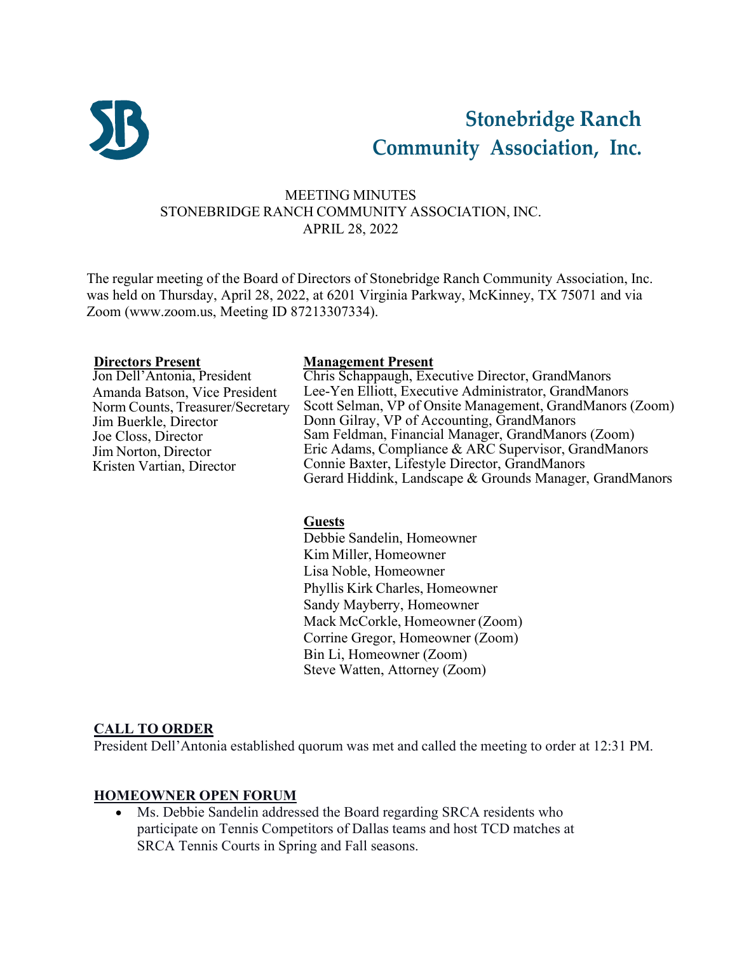

# **Stonebridge Ranch Community Association, Inc.**

## MEETING MINUTES STONEBRIDGE RANCH COMMUNITY ASSOCIATION, INC. APRIL 28, 2022

The regular meeting of the Board of Directors of Stonebridge Ranch Community Association, Inc. was held on Thursday, April 28, 2022, at 6201 Virginia Parkway, McKinney, TX 75071 and via Zoom [\(www.zoom.us,](http://www.zoom.us/) Meeting ID 87213307334).

**Directors Present Management Present** Amanda Batson, Vice President Norm Counts, Treasurer/Secretary Jim Buerkle, Director Joe Closs, Director Jim Norton, Director Kristen Vartian, Director

Chris Schappaugh, Executive Director, GrandManors Lee-Yen Elliott, Executive Administrator, GrandManors Scott Selman, VP of Onsite Management, GrandManors (Zoom) Donn Gilray, VP of Accounting, GrandManors Sam Feldman, Financial Manager, GrandManors (Zoom) Eric Adams, Compliance & ARC Supervisor, GrandManors Connie Baxter, Lifestyle Director, GrandManors Gerard Hiddink, Landscape & Grounds Manager, GrandManors

#### **Guests**

Debbie Sandelin, Homeowner Kim Miller, Homeowner Lisa Noble, Homeowner Phyllis Kirk Charles, Homeowner Sandy Mayberry, Homeowner Mack McCorkle, Homeowner (Zoom) Corrine Gregor, Homeowner (Zoom) Bin Li, Homeowner (Zoom) Steve Watten, Attorney (Zoom)

## **CALL TO ORDER**

President Dell'Antonia established quorum was met and called the meeting to order at 12:31 PM.

#### **HOMEOWNER OPEN FORUM**

Ms. Debbie Sandelin addressed the Board regarding SRCA residents who participate on Tennis Competitors of Dallas teams and host TCD matches at SRCA Tennis Courts in Spring and Fall seasons.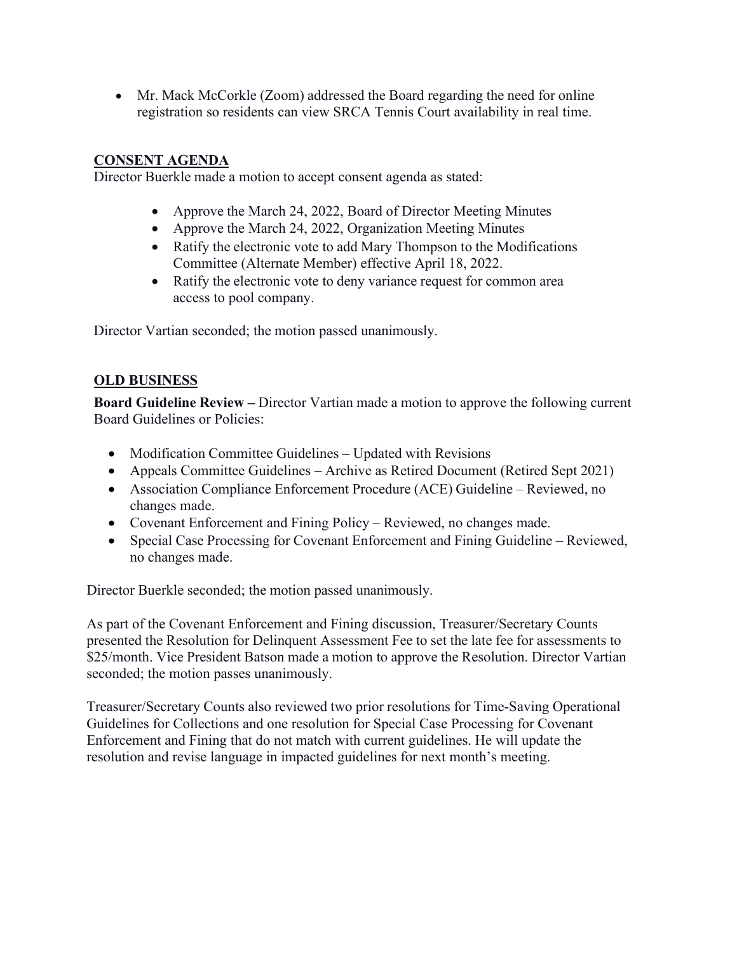• Mr. Mack McCorkle (Zoom) addressed the Board regarding the need for online registration so residents can view SRCA Tennis Court availability in real time.

## **CONSENT AGENDA**

Director Buerkle made a motion to accept consent agenda as stated:

- Approve the March 24, 2022, Board of Director Meeting Minutes
- Approve the March 24, 2022, Organization Meeting Minutes
- Ratify the electronic vote to add Mary Thompson to the Modifications Committee (Alternate Member) effective April 18, 2022.
- Ratify the electronic vote to deny variance request for common area access to pool company.

Director Vartian seconded; the motion passed unanimously.

# **OLD BUSINESS**

**Board Guideline Review –** Director Vartian made a motion to approve the following current Board Guidelines or Policies:

- Modification Committee Guidelines Updated with Revisions
- Appeals Committee Guidelines Archive as Retired Document (Retired Sept 2021)
- Association Compliance Enforcement Procedure (ACE) Guideline Reviewed, no changes made.
- Covenant Enforcement and Fining Policy Reviewed, no changes made.
- Special Case Processing for Covenant Enforcement and Fining Guideline Reviewed, no changes made.

Director Buerkle seconded; the motion passed unanimously.

As part of the Covenant Enforcement and Fining discussion, Treasurer/Secretary Counts presented the Resolution for Delinquent Assessment Fee to set the late fee for assessments to \$25/month. Vice President Batson made a motion to approve the Resolution. Director Vartian seconded; the motion passes unanimously.

Treasurer/Secretary Counts also reviewed two prior resolutions for Time-Saving Operational Guidelines for Collections and one resolution for Special Case Processing for Covenant Enforcement and Fining that do not match with current guidelines. He will update the resolution and revise language in impacted guidelines for next month's meeting.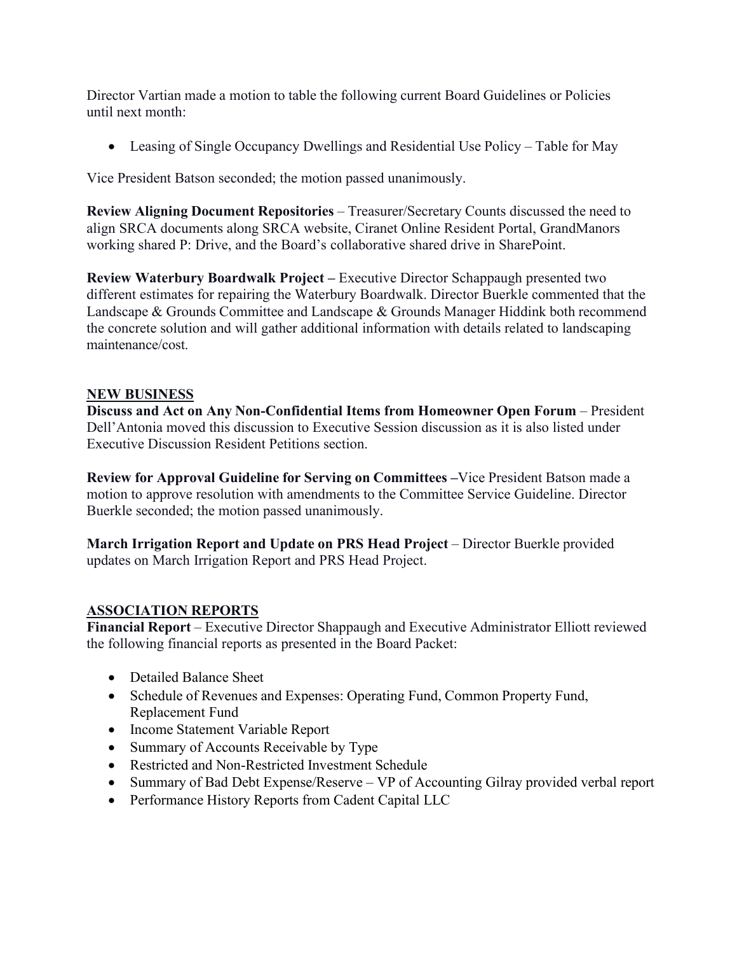Director Vartian made a motion to table the following current Board Guidelines or Policies until next month:

• Leasing of Single Occupancy Dwellings and Residential Use Policy – Table for May

Vice President Batson seconded; the motion passed unanimously.

**Review Aligning Document Repositories** – Treasurer/Secretary Counts discussed the need to align SRCA documents along SRCA website, Ciranet Online Resident Portal, GrandManors working shared P: Drive, and the Board's collaborative shared drive in SharePoint.

**Review Waterbury Boardwalk Project –** Executive Director Schappaugh presented two different estimates for repairing the Waterbury Boardwalk. Director Buerkle commented that the Landscape & Grounds Committee and Landscape & Grounds Manager Hiddink both recommend the concrete solution and will gather additional information with details related to landscaping maintenance/cost.

#### **NEW BUSINESS**

**Discuss and Act on Any Non-Confidential Items from Homeowner Open Forum** – President Dell'Antonia moved this discussion to Executive Session discussion as it is also listed under Executive Discussion Resident Petitions section.

**Review for Approval Guideline for Serving on Committees –**Vice President Batson made a motion to approve resolution with amendments to the Committee Service Guideline. Director Buerkle seconded; the motion passed unanimously.

**March Irrigation Report and Update on PRS Head Project** – Director Buerkle provided updates on March Irrigation Report and PRS Head Project.

## **ASSOCIATION REPORTS**

**Financial Report** – Executive Director Shappaugh and Executive Administrator Elliott reviewed the following financial reports as presented in the Board Packet:

- Detailed Balance Sheet
- Schedule of Revenues and Expenses: Operating Fund, Common Property Fund, Replacement Fund
- Income Statement Variable Report
- Summary of Accounts Receivable by Type
- Restricted and Non-Restricted Investment Schedule
- Summary of Bad Debt Expense/Reserve VP of Accounting Gilray provided verbal report
- Performance History Reports from Cadent Capital LLC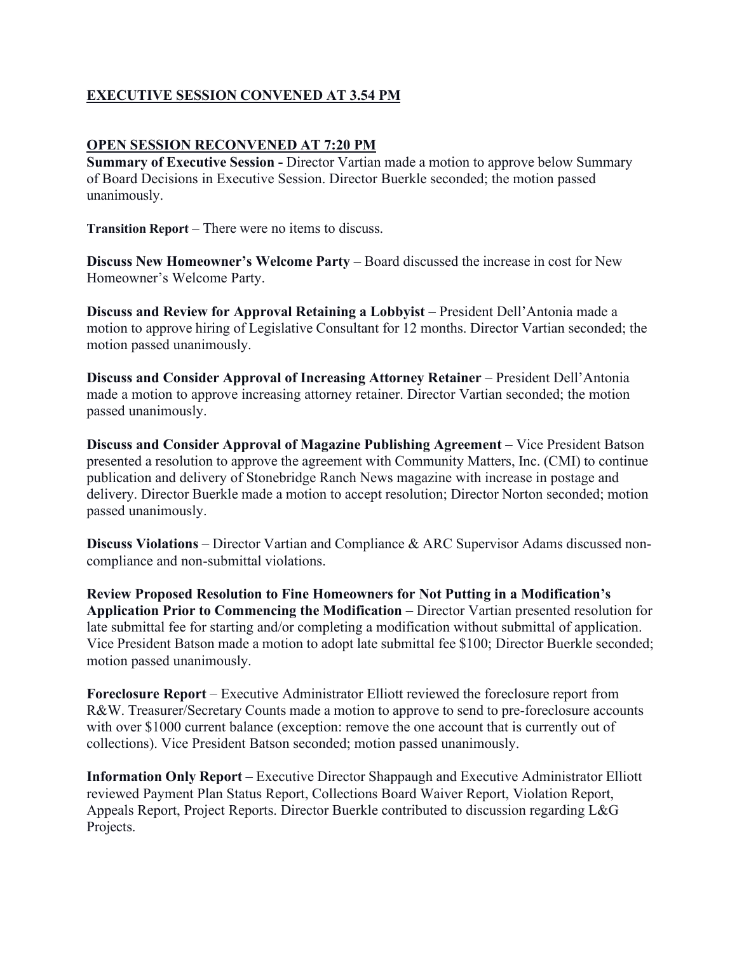# **EXECUTIVE SESSION CONVENED AT 3.54 PM**

#### **OPEN SESSION RECONVENED AT 7:20 PM**

**Summary of Executive Session - Director Vartian made a motion to approve below Summary** of Board Decisions in Executive Session. Director Buerkle seconded; the motion passed unanimously.

**Transition Report** – There were no items to discuss.

**Discuss New Homeowner's Welcome Party** – Board discussed the increase in cost for New Homeowner's Welcome Party.

**Discuss and Review for Approval Retaining a Lobbyist** – President Dell'Antonia made a motion to approve hiring of Legislative Consultant for 12 months. Director Vartian seconded; the motion passed unanimously.

**Discuss and Consider Approval of Increasing Attorney Retainer** – President Dell'Antonia made a motion to approve increasing attorney retainer. Director Vartian seconded; the motion passed unanimously.

**Discuss and Consider Approval of Magazine Publishing Agreement** – Vice President Batson presented a resolution to approve the agreement with Community Matters, Inc. (CMI) to continue publication and delivery of Stonebridge Ranch News magazine with increase in postage and delivery. Director Buerkle made a motion to accept resolution; Director Norton seconded; motion passed unanimously.

**Discuss Violations** – Director Vartian and Compliance & ARC Supervisor Adams discussed noncompliance and non-submittal violations.

**Review Proposed Resolution to Fine Homeowners for Not Putting in a Modification's Application Prior to Commencing the Modification** – Director Vartian presented resolution for late submittal fee for starting and/or completing a modification without submittal of application. Vice President Batson made a motion to adopt late submittal fee \$100; Director Buerkle seconded; motion passed unanimously.

**Foreclosure Report** – Executive Administrator Elliott reviewed the foreclosure report from R&W. Treasurer/Secretary Counts made a motion to approve to send to pre-foreclosure accounts with over \$1000 current balance (exception: remove the one account that is currently out of collections). Vice President Batson seconded; motion passed unanimously.

**Information Only Report** – Executive Director Shappaugh and Executive Administrator Elliott reviewed Payment Plan Status Report, Collections Board Waiver Report, Violation Report, Appeals Report, Project Reports. Director Buerkle contributed to discussion regarding L&G Projects.